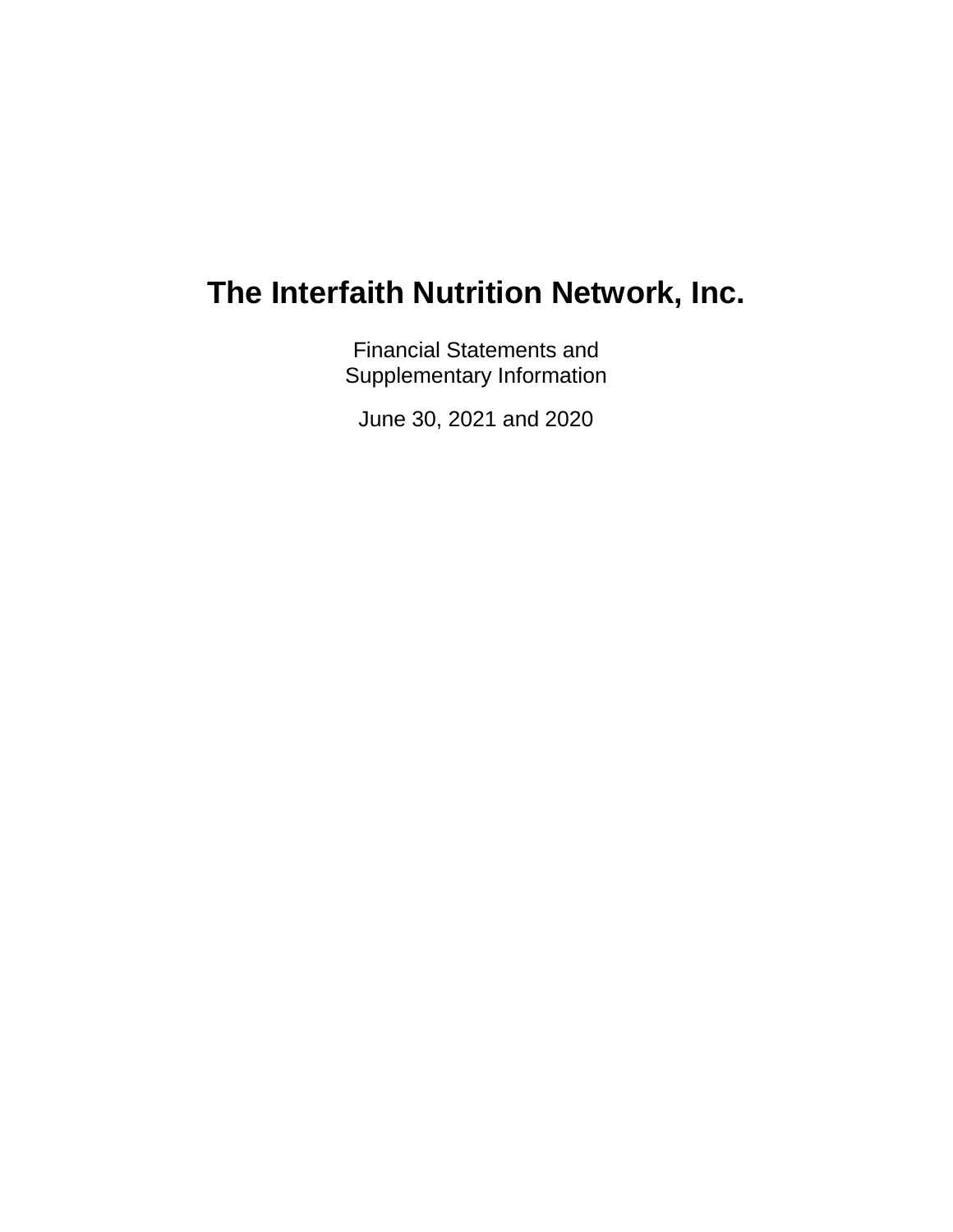Financial Statements and Supplementary Information

June 30, 2021 and 2020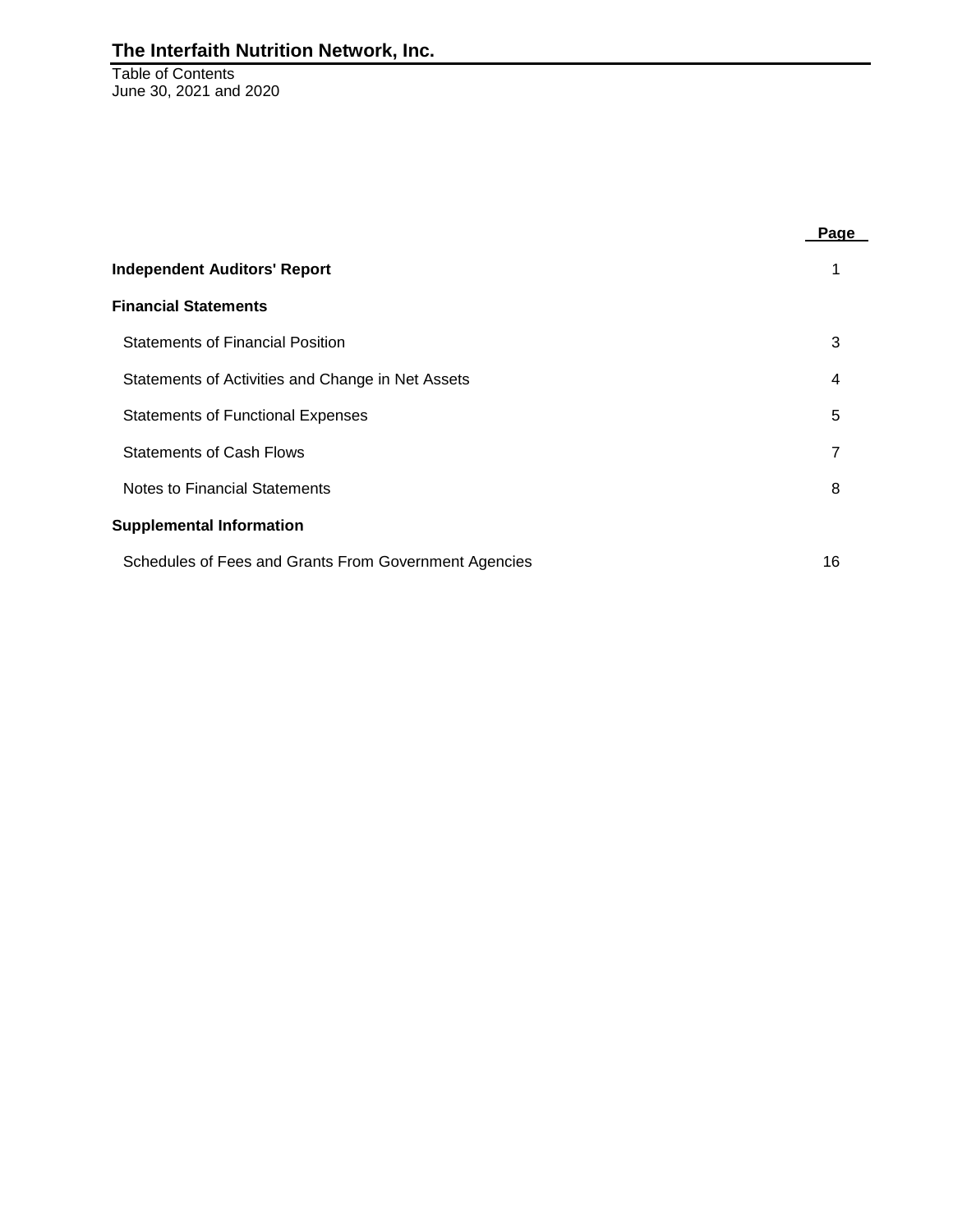Table of Contents June 30, 2021 and 2020

|                                                       | Page |
|-------------------------------------------------------|------|
| <b>Independent Auditors' Report</b>                   |      |
| <b>Financial Statements</b>                           |      |
| <b>Statements of Financial Position</b>               | 3    |
| Statements of Activities and Change in Net Assets     | 4    |
| <b>Statements of Functional Expenses</b>              | 5    |
| <b>Statements of Cash Flows</b>                       | 7    |
| Notes to Financial Statements                         | 8    |
| <b>Supplemental Information</b>                       |      |
| Schedules of Fees and Grants From Government Agencies | 16   |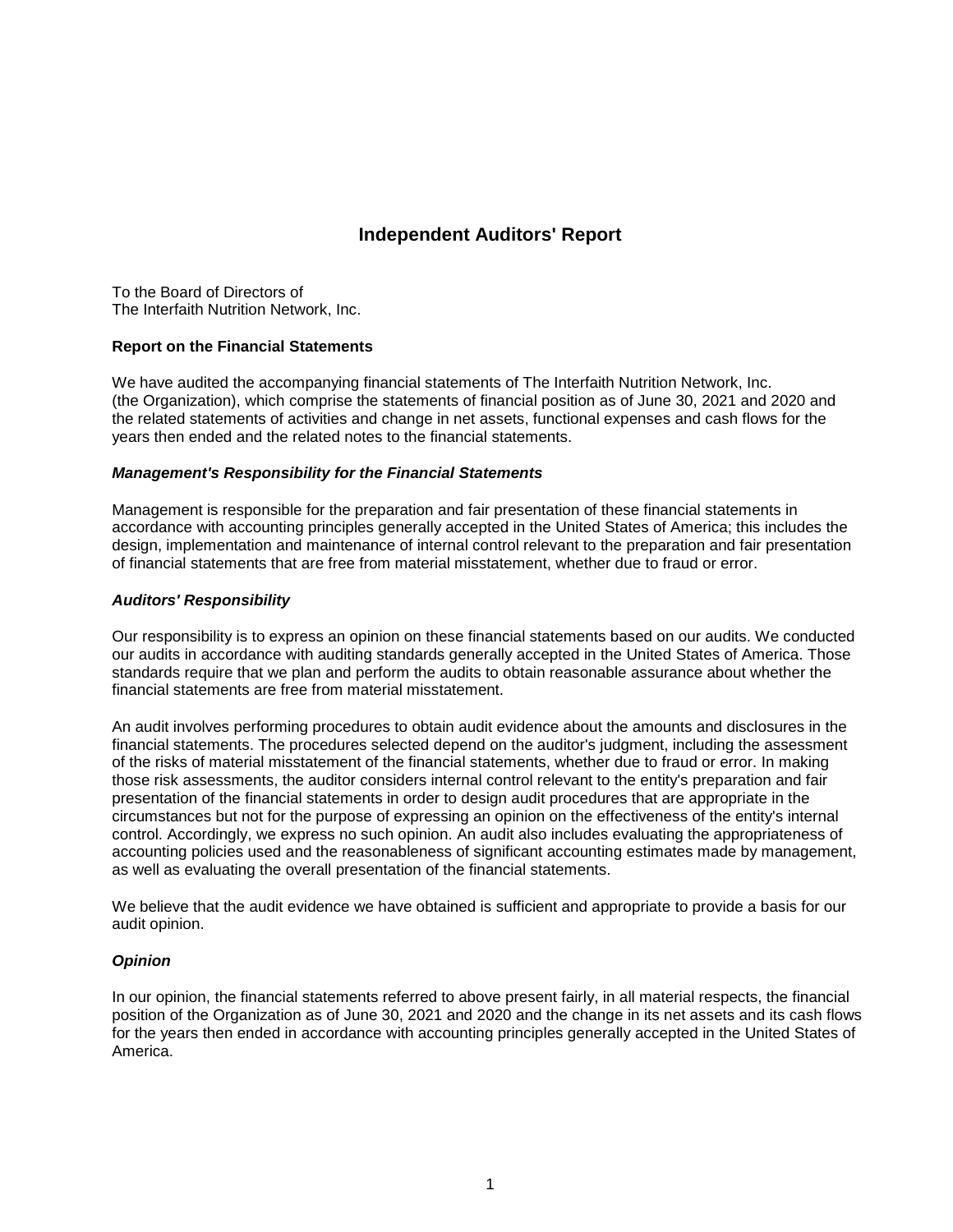## **Independent Auditors' Report**

To the Board of Directors of The Interfaith Nutrition Network, Inc.

#### **Report on the Financial Statements**

We have audited the accompanying financial statements of The Interfaith Nutrition Network, Inc. (the Organization), which comprise the statements of financial position as of June 30, 2021 and 2020 and the related statements of activities and change in net assets, functional expenses and cash flows for the years then ended and the related notes to the financial statements.

#### *Management's Responsibility for the Financial Statements*

Management is responsible for the preparation and fair presentation of these financial statements in accordance with accounting principles generally accepted in the United States of America; this includes the design, implementation and maintenance of internal control relevant to the preparation and fair presentation of financial statements that are free from material misstatement, whether due to fraud or error.

#### *Auditors' Responsibility*

Our responsibility is to express an opinion on these financial statements based on our audits. We conducted our audits in accordance with auditing standards generally accepted in the United States of America. Those standards require that we plan and perform the audits to obtain reasonable assurance about whether the financial statements are free from material misstatement.

An audit involves performing procedures to obtain audit evidence about the amounts and disclosures in the financial statements. The procedures selected depend on the auditor's judgment, including the assessment of the risks of material misstatement of the financial statements, whether due to fraud or error. In making those risk assessments, the auditor considers internal control relevant to the entity's preparation and fair presentation of the financial statements in order to design audit procedures that are appropriate in the circumstances but not for the purpose of expressing an opinion on the effectiveness of the entity's internal control. Accordingly, we express no such opinion. An audit also includes evaluating the appropriateness of accounting policies used and the reasonableness of significant accounting estimates made by management, as well as evaluating the overall presentation of the financial statements.

We believe that the audit evidence we have obtained is sufficient and appropriate to provide a basis for our audit opinion.

#### *Opinion*

In our opinion, the financial statements referred to above present fairly, in all material respects, the financial position of the Organization as of June 30, 2021 and 2020 and the change in its net assets and its cash flows for the years then ended in accordance with accounting principles generally accepted in the United States of America.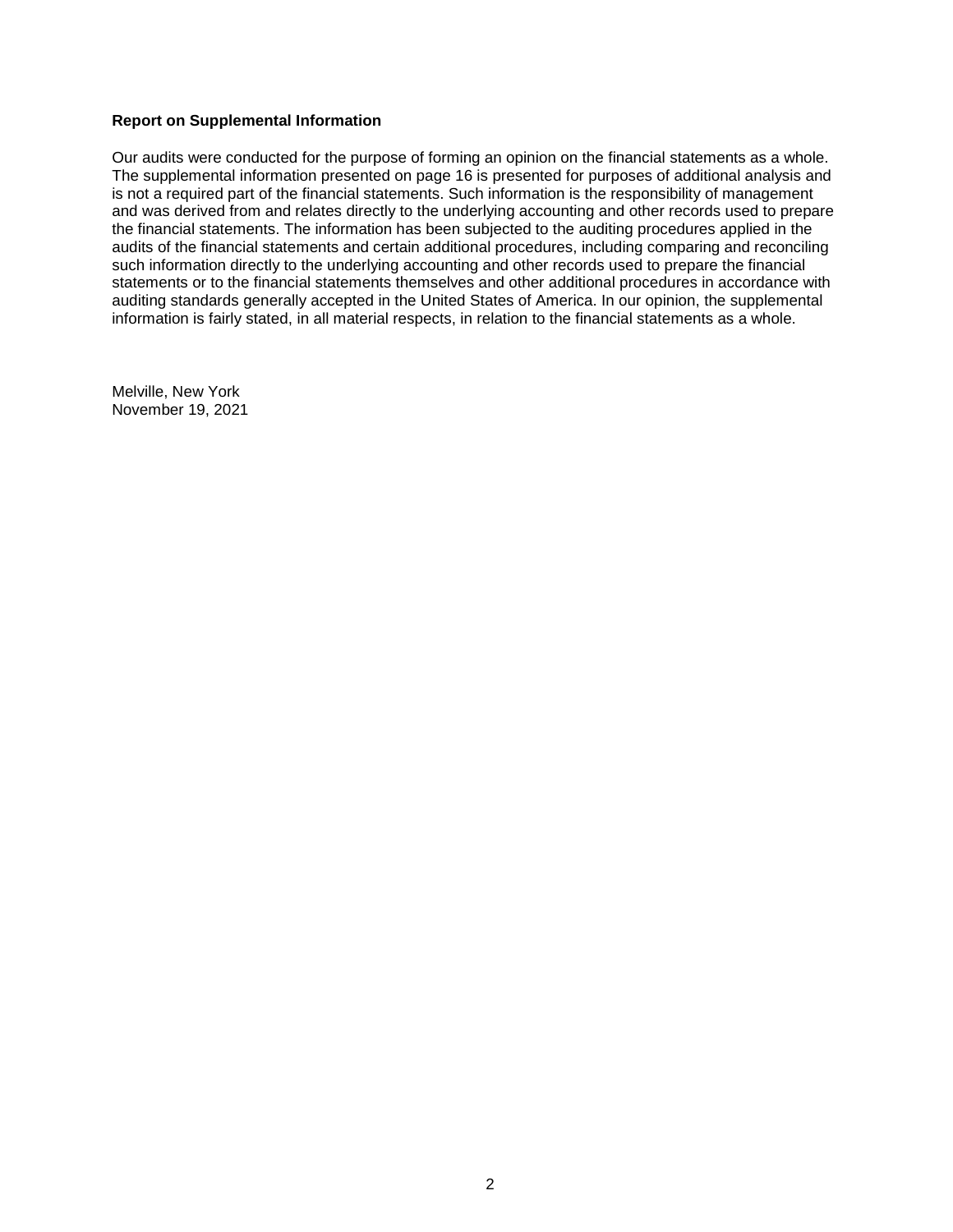#### **Report on Supplemental Information**

Our audits were conducted for the purpose of forming an opinion on the financial statements as a whole. The supplemental information presented on page 16 is presented for purposes of additional analysis and is not a required part of the financial statements. Such information is the responsibility of management and was derived from and relates directly to the underlying accounting and other records used to prepare the financial statements. The information has been subjected to the auditing procedures applied in the audits of the financial statements and certain additional procedures, including comparing and reconciling such information directly to the underlying accounting and other records used to prepare the financial statements or to the financial statements themselves and other additional procedures in accordance with auditing standards generally accepted in the United States of America. In our opinion, the supplemental information is fairly stated, in all material respects, in relation to the financial statements as a whole.

Melville, New York November 19, 2021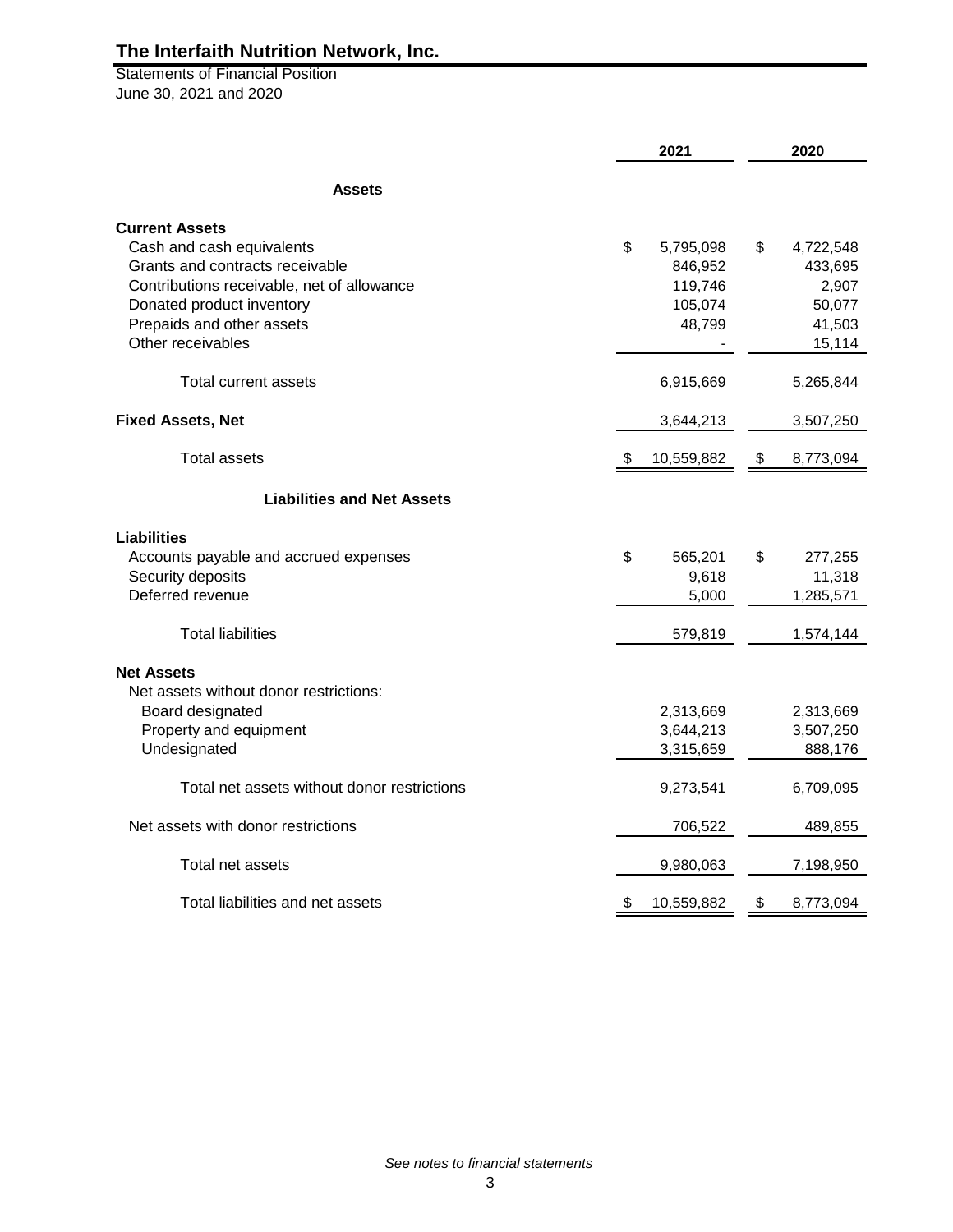**Statements of Financial Position** June 30, 2021 and 2020

|                                                                                                                                                                                                                    | 2021                                                       | 2020                                                              |
|--------------------------------------------------------------------------------------------------------------------------------------------------------------------------------------------------------------------|------------------------------------------------------------|-------------------------------------------------------------------|
| <b>Assets</b>                                                                                                                                                                                                      |                                                            |                                                                   |
| <b>Current Assets</b><br>Cash and cash equivalents<br>Grants and contracts receivable<br>Contributions receivable, net of allowance<br>Donated product inventory<br>Prepaids and other assets<br>Other receivables | \$<br>5,795,098<br>846,952<br>119,746<br>105,074<br>48,799 | \$<br>4,722,548<br>433,695<br>2,907<br>50,077<br>41,503<br>15,114 |
| <b>Total current assets</b>                                                                                                                                                                                        | 6,915,669                                                  | 5,265,844                                                         |
| <b>Fixed Assets, Net</b>                                                                                                                                                                                           | 3,644,213                                                  | 3,507,250                                                         |
| <b>Total assets</b>                                                                                                                                                                                                | \$<br>10,559,882                                           | \$<br>8,773,094                                                   |
| <b>Liabilities and Net Assets</b>                                                                                                                                                                                  |                                                            |                                                                   |
| <b>Liabilities</b><br>Accounts payable and accrued expenses<br>Security deposits<br>Deferred revenue                                                                                                               | \$<br>565,201<br>9,618<br>5,000                            | \$<br>277,255<br>11,318<br>1,285,571                              |
| <b>Total liabilities</b>                                                                                                                                                                                           | 579,819                                                    | 1,574,144                                                         |
| <b>Net Assets</b><br>Net assets without donor restrictions:<br>Board designated<br>Property and equipment<br>Undesignated                                                                                          | 2,313,669<br>3,644,213<br>3,315,659                        | 2,313,669<br>3,507,250<br>888,176                                 |
| Total net assets without donor restrictions                                                                                                                                                                        | 9,273,541                                                  | 6,709,095                                                         |
| Net assets with donor restrictions                                                                                                                                                                                 | 706,522                                                    | 489,855                                                           |
| Total net assets                                                                                                                                                                                                   | 9,980,063                                                  | 7,198,950                                                         |
| Total liabilities and net assets                                                                                                                                                                                   | \$<br>10,559,882                                           | \$<br>8,773,094                                                   |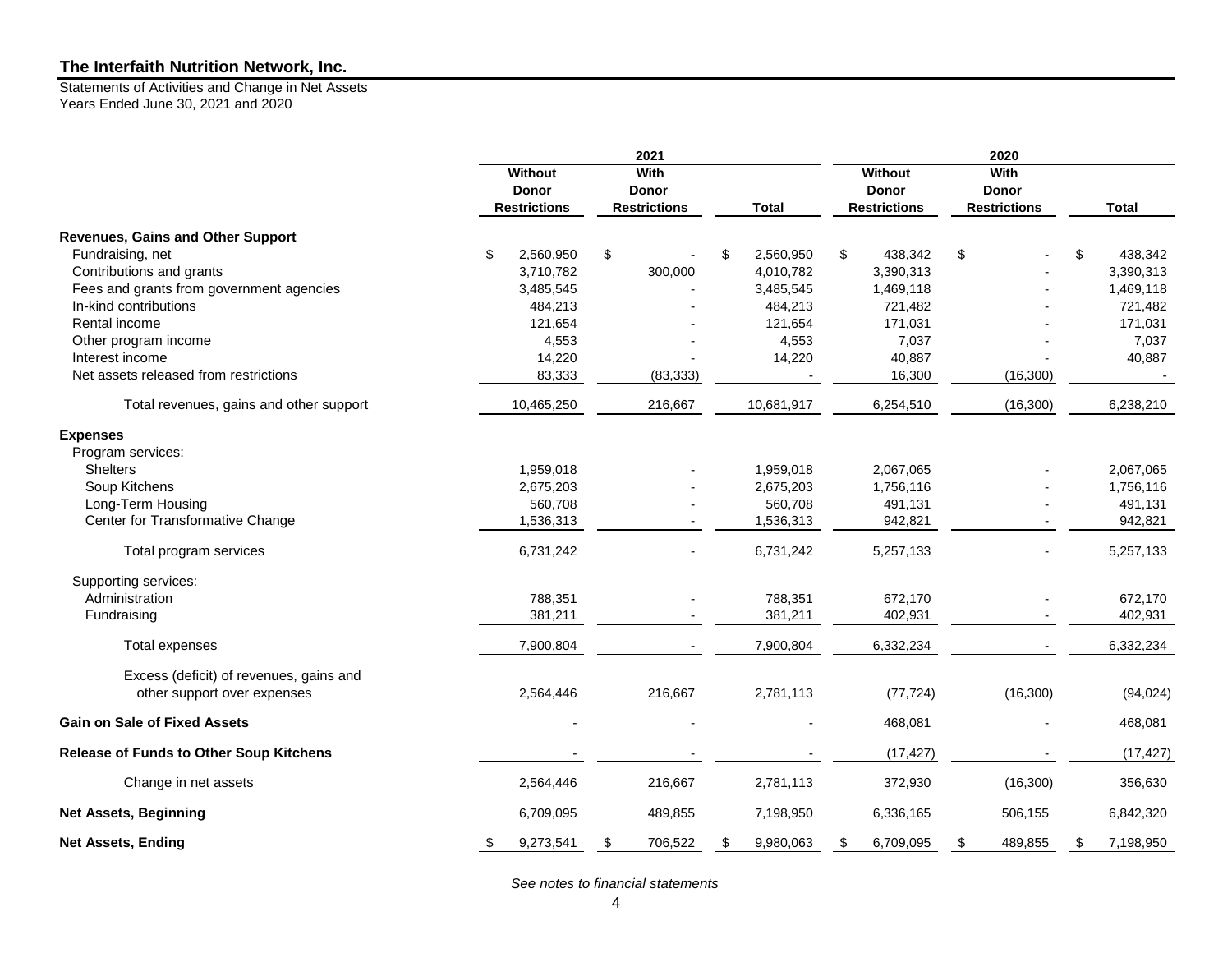Statements of Activities and Change in Net Assets Years Ended June 30, 2021 and 2020

|                                                | 2021                |                     |                 |                     |                     |                 |
|------------------------------------------------|---------------------|---------------------|-----------------|---------------------|---------------------|-----------------|
|                                                | Without             | With                |                 | <b>Without</b>      | With                |                 |
|                                                | Donor               | Donor               |                 | <b>Donor</b>        | <b>Donor</b>        |                 |
|                                                | <b>Restrictions</b> | <b>Restrictions</b> | <b>Total</b>    | <b>Restrictions</b> | <b>Restrictions</b> | <b>Total</b>    |
| <b>Revenues, Gains and Other Support</b>       |                     |                     |                 |                     |                     |                 |
| Fundraising, net                               | \$<br>2,560,950     | \$                  | \$<br>2,560,950 | \$<br>438,342       | \$                  | \$<br>438,342   |
| Contributions and grants                       | 3,710,782           | 300,000             | 4,010,782       | 3,390,313           |                     | 3,390,313       |
| Fees and grants from government agencies       | 3,485,545           |                     | 3,485,545       | 1,469,118           |                     | 1,469,118       |
| In-kind contributions                          | 484,213             |                     | 484,213         | 721,482             |                     | 721,482         |
| Rental income                                  | 121,654             |                     | 121,654         | 171,031             |                     | 171,031         |
| Other program income                           | 4,553               |                     | 4,553           | 7,037               |                     | 7,037           |
| Interest income                                | 14,220              |                     | 14,220          | 40,887              |                     | 40,887          |
| Net assets released from restrictions          | 83,333              | (83, 333)           |                 | 16,300              | (16,300)            |                 |
| Total revenues, gains and other support        | 10,465,250          | 216,667             | 10,681,917      | 6,254,510           | (16, 300)           | 6,238,210       |
| <b>Expenses</b>                                |                     |                     |                 |                     |                     |                 |
| Program services:                              |                     |                     |                 |                     |                     |                 |
| <b>Shelters</b>                                | 1,959,018           |                     | 1,959,018       | 2,067,065           |                     | 2,067,065       |
| Soup Kitchens                                  | 2,675,203           |                     | 2,675,203       | 1,756,116           |                     | 1,756,116       |
| Long-Term Housing                              | 560,708             |                     | 560,708         | 491,131             |                     | 491,131         |
| Center for Transformative Change               | 1,536,313           |                     | 1,536,313       | 942.821             |                     | 942,821         |
| Total program services                         | 6,731,242           |                     | 6,731,242       | 5,257,133           |                     | 5,257,133       |
| Supporting services:                           |                     |                     |                 |                     |                     |                 |
| Administration                                 | 788,351             |                     | 788,351         | 672,170             |                     | 672,170         |
| Fundraising                                    | 381,211             |                     | 381,211         | 402,931             |                     | 402,931         |
| Total expenses                                 | 7,900,804           |                     | 7,900,804       | 6,332,234           |                     | 6,332,234       |
| Excess (deficit) of revenues, gains and        |                     |                     |                 |                     |                     |                 |
| other support over expenses                    | 2,564,446           | 216,667             | 2,781,113       | (77, 724)           | (16, 300)           | (94, 024)       |
| <b>Gain on Sale of Fixed Assets</b>            |                     |                     |                 | 468,081             |                     | 468,081         |
| <b>Release of Funds to Other Soup Kitchens</b> |                     |                     |                 | (17, 427)           |                     | (17, 427)       |
| Change in net assets                           | 2,564,446           | 216,667             | 2,781,113       | 372,930             | (16,300)            | 356,630         |
| <b>Net Assets, Beginning</b>                   | 6,709,095           | 489,855             | 7,198,950       | 6,336,165           | 506,155             | 6,842,320       |
| <b>Net Assets, Ending</b>                      | 9,273,541<br>\$     | 706,522<br>\$.      | 9,980,063<br>\$ | 6,709,095<br>\$     | 489,855<br>\$       | 7,198,950<br>\$ |

*See notes to financial statements*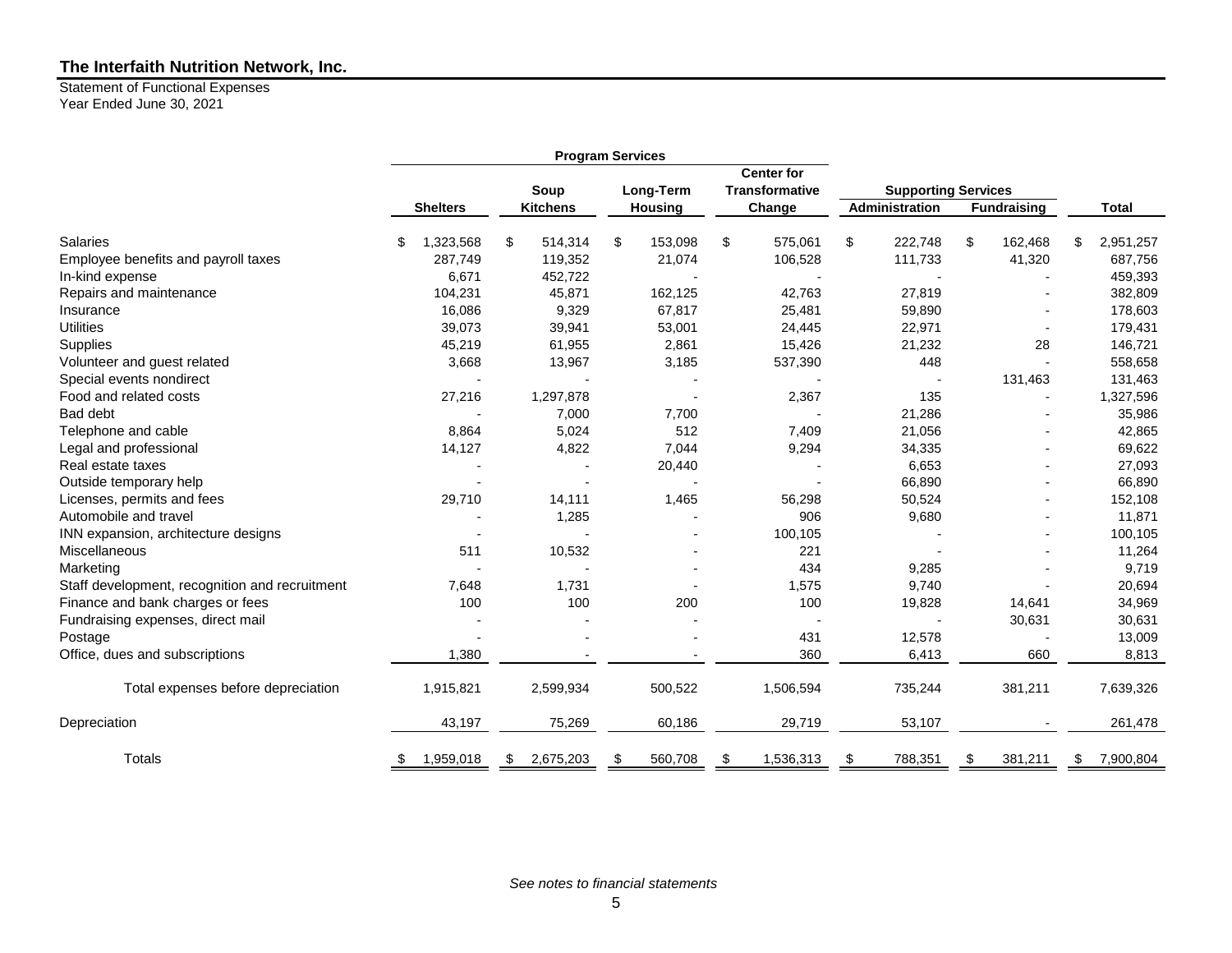## Statement of Functional Expenses

Year Ended June 30, 2021

|                                                |                 |                 | <b>Program Services</b> |                                            |                            |                    |                 |
|------------------------------------------------|-----------------|-----------------|-------------------------|--------------------------------------------|----------------------------|--------------------|-----------------|
|                                                |                 | Soup            | Long-Term               | <b>Center for</b><br><b>Transformative</b> | <b>Supporting Services</b> |                    |                 |
|                                                | <b>Shelters</b> | <b>Kitchens</b> | Housing                 | Change                                     | Administration             | <b>Fundraising</b> | <b>Total</b>    |
| Salaries                                       | 1,323,568<br>S  | 514,314<br>S.   | \$<br>153,098           | \$<br>575,061                              | \$<br>222,748              | \$<br>162,468      | 2,951,257<br>\$ |
| Employee benefits and payroll taxes            | 287,749         | 119,352         | 21,074                  | 106,528                                    | 111,733                    | 41,320             | 687,756         |
| In-kind expense                                | 6,671           | 452,722         |                         |                                            |                            |                    | 459,393         |
| Repairs and maintenance                        | 104,231         | 45,871          | 162,125                 | 42,763                                     | 27,819                     |                    | 382,809         |
| Insurance                                      | 16,086          | 9,329           | 67,817                  | 25,481                                     | 59,890                     |                    | 178,603         |
| <b>Utilities</b>                               | 39,073          | 39,941          | 53,001                  | 24,445                                     | 22,971                     |                    | 179,431         |
| Supplies                                       | 45,219          | 61,955          | 2,861                   | 15,426                                     | 21,232                     | 28                 | 146,721         |
| Volunteer and guest related                    | 3,668           | 13,967          | 3,185                   | 537,390                                    | 448                        |                    | 558,658         |
| Special events nondirect                       |                 |                 |                         |                                            |                            | 131,463            | 131,463         |
| Food and related costs                         | 27,216          | 1,297,878       |                         | 2,367                                      | 135                        |                    | 1,327,596       |
| Bad debt                                       |                 | 7,000           | 7,700                   |                                            | 21,286                     |                    | 35,986          |
| Telephone and cable                            | 8,864           | 5,024           | 512                     | 7,409                                      | 21,056                     |                    | 42,865          |
| Legal and professional                         | 14,127          | 4,822           | 7,044                   | 9,294                                      | 34,335                     |                    | 69,622          |
| Real estate taxes                              |                 |                 | 20,440                  |                                            | 6,653                      |                    | 27,093          |
| Outside temporary help                         |                 |                 |                         |                                            | 66,890                     |                    | 66,890          |
| Licenses, permits and fees                     | 29,710          | 14,111          | 1,465                   | 56,298                                     | 50,524                     |                    | 152,108         |
| Automobile and travel                          |                 | 1,285           |                         | 906                                        | 9,680                      |                    | 11,871          |
| INN expansion, architecture designs            |                 |                 |                         | 100,105                                    |                            |                    | 100,105         |
| Miscellaneous                                  | 511             | 10,532          |                         | 221                                        |                            |                    | 11,264          |
| Marketing                                      |                 |                 |                         | 434                                        | 9,285                      |                    | 9,719           |
| Staff development, recognition and recruitment | 7,648           | 1,731           |                         | 1,575                                      | 9,740                      |                    | 20,694          |
| Finance and bank charges or fees               | 100             | 100             | 200                     | 100                                        | 19,828                     | 14,641             | 34,969          |
| Fundraising expenses, direct mail              |                 |                 |                         |                                            |                            | 30,631             | 30,631          |
| Postage                                        |                 |                 |                         | 431                                        | 12,578                     |                    | 13,009          |
| Office, dues and subscriptions                 | 1,380           |                 |                         | 360                                        | 6,413                      | 660                | 8,813           |
| Total expenses before depreciation             | 1,915,821       | 2,599,934       | 500,522                 | 1,506,594                                  | 735,244                    | 381,211            | 7,639,326       |
| Depreciation                                   | 43,197          | 75,269          | 60,186                  | 29,719                                     | 53,107                     |                    | 261,478         |
| <b>Totals</b>                                  | 1,959,018<br>\$ | 2,675,203<br>S. | 560,708<br>S            | 1,536,313<br>\$                            | 788,351<br>\$              | 381,211<br>\$      | 7,900,804<br>\$ |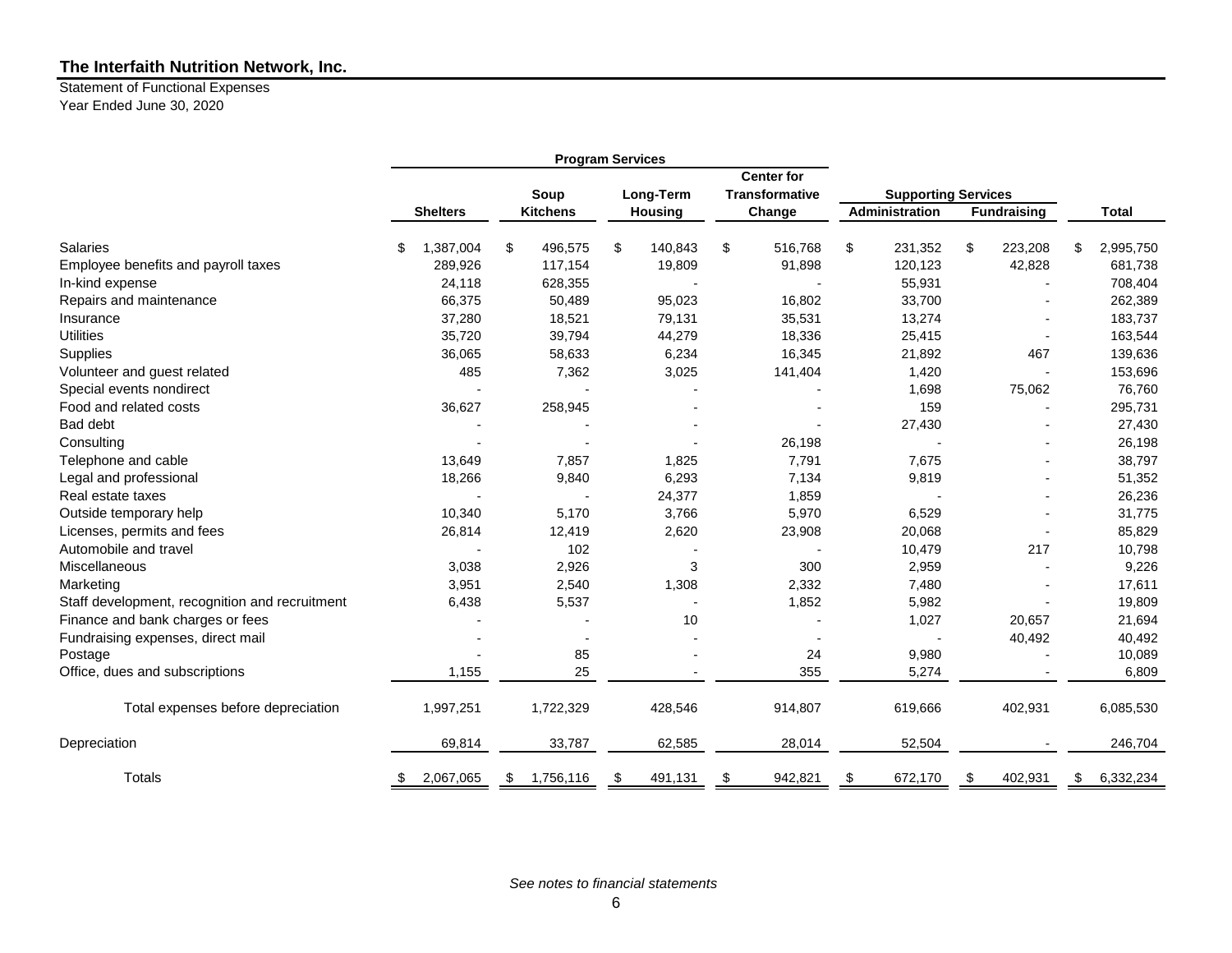## Statement of Functional Expenses

Year Ended June 30, 2020

|                                                |                 |                 | <b>Program Services</b> |                                            |                            |                    |                 |
|------------------------------------------------|-----------------|-----------------|-------------------------|--------------------------------------------|----------------------------|--------------------|-----------------|
|                                                |                 | Soup            | Long-Term               | <b>Center for</b><br><b>Transformative</b> | <b>Supporting Services</b> |                    |                 |
|                                                | <b>Shelters</b> | <b>Kitchens</b> | <b>Housing</b>          | Change                                     | Administration             | <b>Fundraising</b> | <b>Total</b>    |
| <b>Salaries</b>                                | 1,387,004<br>\$ | \$<br>496,575   | \$<br>140,843           | \$<br>516,768                              | \$<br>231,352              | \$<br>223,208      | \$<br>2,995,750 |
| Employee benefits and payroll taxes            | 289,926         | 117,154         | 19,809                  | 91,898                                     | 120,123                    | 42,828             | 681,738         |
| In-kind expense                                | 24,118          | 628,355         |                         |                                            | 55,931                     |                    | 708,404         |
| Repairs and maintenance                        | 66,375          | 50,489          | 95,023                  | 16,802                                     | 33,700                     |                    | 262,389         |
| Insurance                                      | 37,280          | 18,521          | 79,131                  | 35,531                                     | 13,274                     |                    | 183,737         |
| <b>Utilities</b>                               | 35,720          | 39,794          | 44,279                  | 18,336                                     | 25,415                     |                    | 163,544         |
| Supplies                                       | 36,065          | 58,633          | 6,234                   | 16,345                                     | 21,892                     | 467                | 139,636         |
| Volunteer and guest related                    | 485             | 7,362           | 3,025                   | 141,404                                    | 1,420                      |                    | 153,696         |
| Special events nondirect                       |                 |                 |                         |                                            | 1,698                      | 75,062             | 76,760          |
| Food and related costs                         | 36,627          | 258,945         |                         |                                            | 159                        |                    | 295,731         |
| Bad debt                                       |                 |                 |                         |                                            | 27,430                     |                    | 27,430          |
| Consulting                                     |                 |                 |                         | 26,198                                     |                            |                    | 26,198          |
| Telephone and cable                            | 13,649          | 7,857           | 1,825                   | 7,791                                      | 7,675                      |                    | 38,797          |
| Legal and professional                         | 18,266          | 9,840           | 6,293                   | 7,134                                      | 9,819                      |                    | 51,352          |
| Real estate taxes                              |                 |                 | 24,377                  | 1,859                                      |                            |                    | 26,236          |
| Outside temporary help                         | 10,340          | 5,170           | 3,766                   | 5,970                                      | 6,529                      |                    | 31,775          |
| Licenses, permits and fees                     | 26,814          | 12,419          | 2,620                   | 23,908                                     | 20,068                     |                    | 85,829          |
| Automobile and travel                          |                 | 102             |                         |                                            | 10,479                     | 217                | 10,798          |
| <b>Miscellaneous</b>                           | 3,038           | 2,926           | 3                       | 300                                        | 2,959                      |                    | 9,226           |
| Marketing                                      | 3,951           | 2,540           | 1,308                   | 2,332                                      | 7,480                      |                    | 17,611          |
| Staff development, recognition and recruitment | 6,438           | 5,537           |                         | 1,852                                      | 5,982                      |                    | 19,809          |
| Finance and bank charges or fees               |                 |                 | 10                      |                                            | 1,027                      | 20,657             | 21,694          |
| Fundraising expenses, direct mail              |                 |                 |                         |                                            |                            | 40,492             | 40,492          |
| Postage                                        |                 | 85              |                         | 24                                         | 9,980                      |                    | 10,089          |
| Office, dues and subscriptions                 | 1,155           | 25              |                         | 355                                        | 5,274                      |                    | 6,809           |
| Total expenses before depreciation             | 1,997,251       | 1,722,329       | 428,546                 | 914,807                                    | 619,666                    | 402,931            | 6,085,530       |
| Depreciation                                   | 69,814          | 33,787          | 62,585                  | 28,014                                     | 52,504                     |                    | 246,704         |
| Totals                                         | 2,067,065       | 1,756,116<br>\$ | 491,131<br>\$           | 942,821<br>\$                              | 672,170<br>\$              | 402,931<br>\$      | 6,332,234<br>\$ |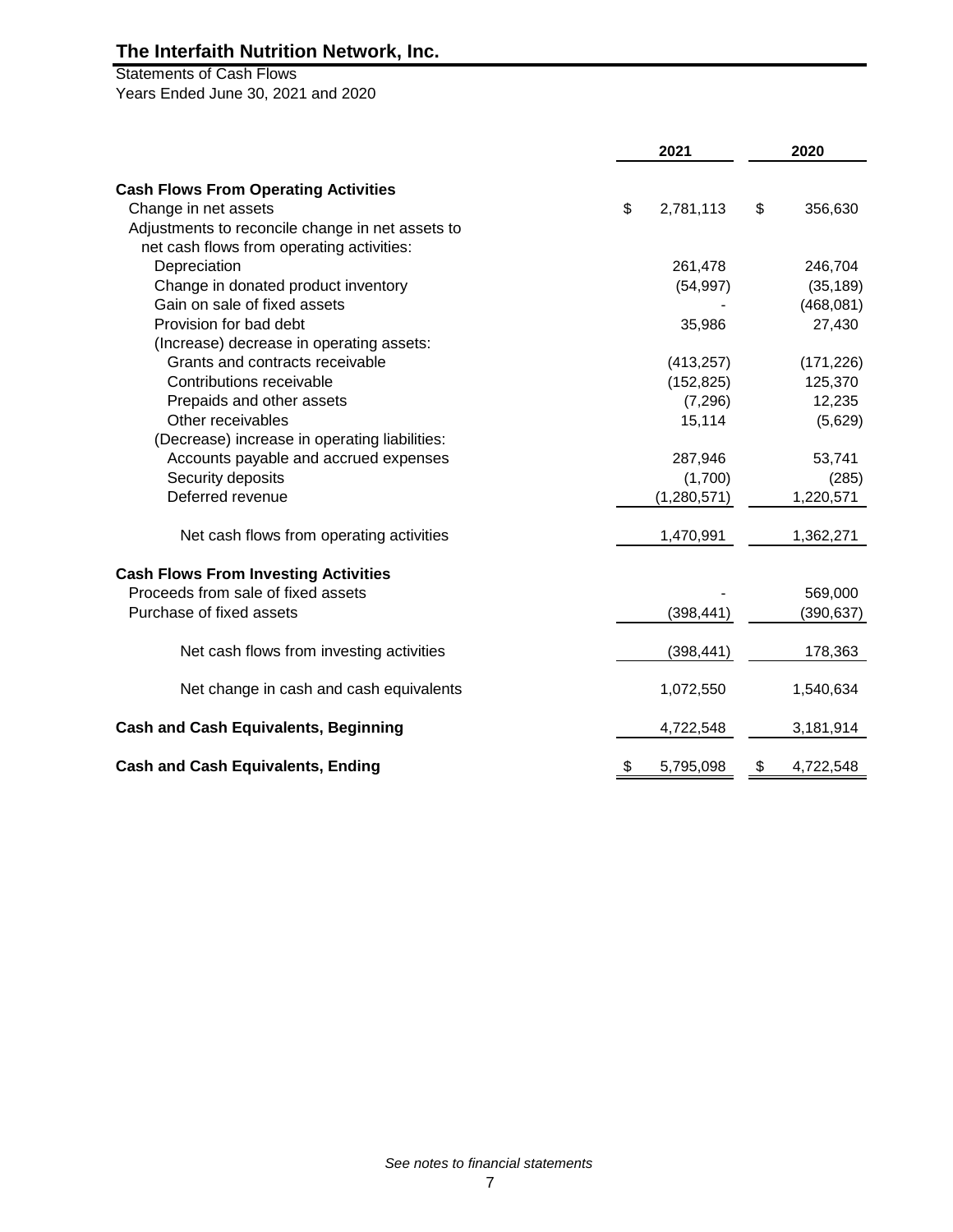## Years Ended June 30, 2021 and 2020 Statements of Cash Flows

|                                                  | 2021 |               | 2020 |            |
|--------------------------------------------------|------|---------------|------|------------|
|                                                  |      |               |      |            |
| <b>Cash Flows From Operating Activities</b>      | \$   |               |      |            |
| Change in net assets                             |      | 2,781,113     | \$   | 356,630    |
| Adjustments to reconcile change in net assets to |      |               |      |            |
| net cash flows from operating activities:        |      |               |      |            |
| Depreciation                                     |      | 261,478       |      | 246,704    |
| Change in donated product inventory              |      | (54, 997)     |      | (35, 189)  |
| Gain on sale of fixed assets                     |      |               |      | (468, 081) |
| Provision for bad debt                           |      | 35,986        |      | 27,430     |
| (Increase) decrease in operating assets:         |      |               |      |            |
| Grants and contracts receivable                  |      | (413, 257)    |      | (171, 226) |
| Contributions receivable                         |      | (152, 825)    |      | 125,370    |
| Prepaids and other assets                        |      | (7, 296)      |      | 12,235     |
| Other receivables                                |      | 15,114        |      | (5,629)    |
| (Decrease) increase in operating liabilities:    |      |               |      |            |
| Accounts payable and accrued expenses            |      | 287,946       |      | 53,741     |
| Security deposits                                |      | (1,700)       |      | (285)      |
| Deferred revenue                                 |      | (1, 280, 571) |      | 1,220,571  |
| Net cash flows from operating activities         |      | 1,470,991     |      | 1,362,271  |
| <b>Cash Flows From Investing Activities</b>      |      |               |      |            |
| Proceeds from sale of fixed assets               |      |               |      | 569,000    |
| Purchase of fixed assets                         |      | (398, 441)    |      | (390, 637) |
| Net cash flows from investing activities         |      | (398, 441)    |      | 178,363    |
| Net change in cash and cash equivalents          |      | 1,072,550     |      | 1,540,634  |
| <b>Cash and Cash Equivalents, Beginning</b>      |      | 4,722,548     |      | 3,181,914  |
| <b>Cash and Cash Equivalents, Ending</b>         | \$   | 5,795,098     | \$   | 4,722,548  |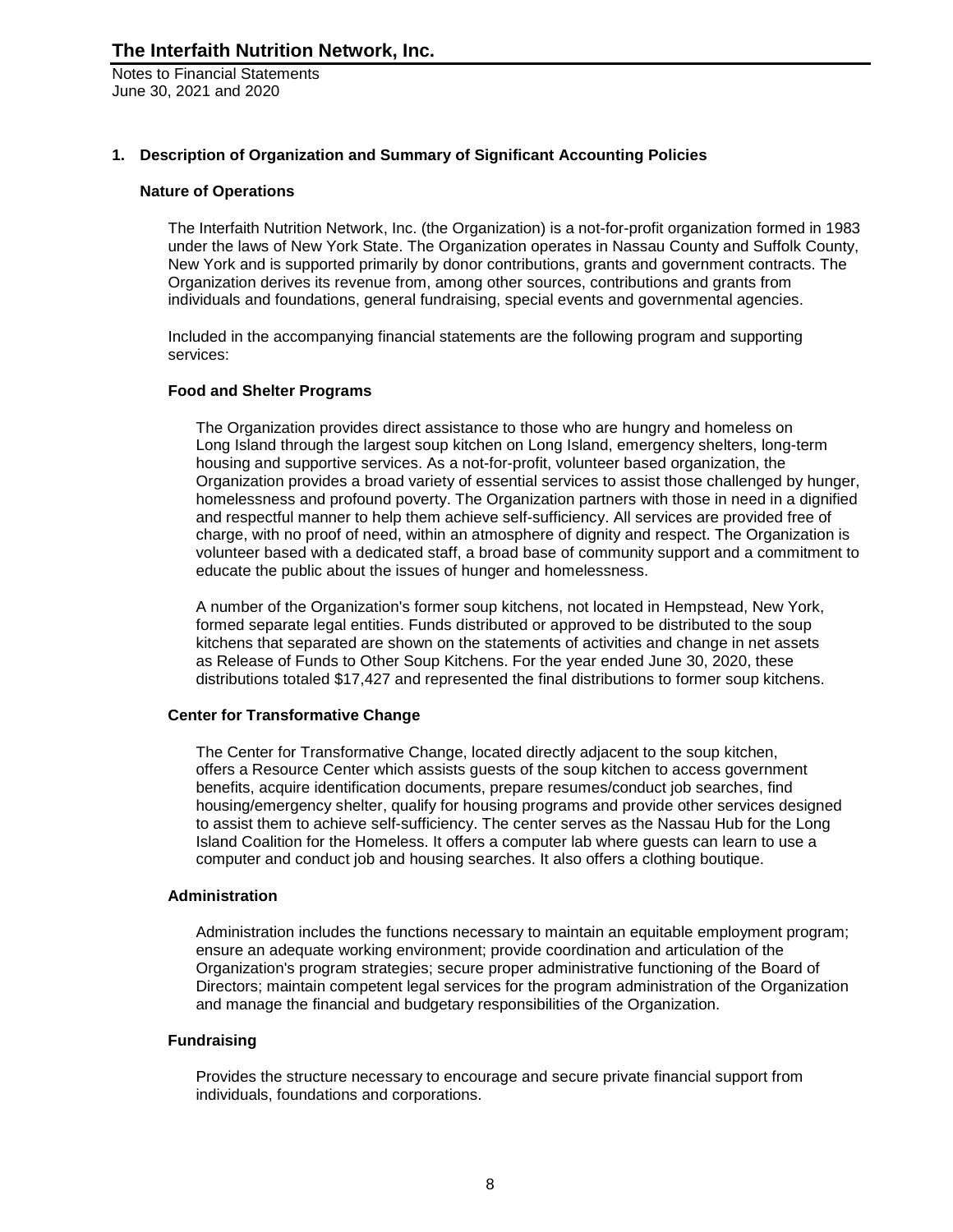Notes to Financial Statements June 30, 2021 and 2020

#### **1. Description of Organization and Summary of Significant Accounting Policies**

#### **Nature of Operations**

The Interfaith Nutrition Network, Inc. (the Organization) is a not-for-profit organization formed in 1983 under the laws of New York State. The Organization operates in Nassau County and Suffolk County, New York and is supported primarily by donor contributions, grants and government contracts. The Organization derives its revenue from, among other sources, contributions and grants from individuals and foundations, general fundraising, special events and governmental agencies.

Included in the accompanying financial statements are the following program and supporting services:

#### **Food and Shelter Programs**

The Organization provides direct assistance to those who are hungry and homeless on Long Island through the largest soup kitchen on Long Island, emergency shelters, long-term housing and supportive services. As a not-for-profit, volunteer based organization, the Organization provides a broad variety of essential services to assist those challenged by hunger, homelessness and profound poverty. The Organization partners with those in need in a dignified and respectful manner to help them achieve self-sufficiency. All services are provided free of charge, with no proof of need, within an atmosphere of dignity and respect. The Organization is volunteer based with a dedicated staff, a broad base of community support and a commitment to educate the public about the issues of hunger and homelessness.

A number of the Organization's former soup kitchens, not located in Hempstead, New York, formed separate legal entities. Funds distributed or approved to be distributed to the soup kitchens that separated are shown on the statements of activities and change in net assets as Release of Funds to Other Soup Kitchens. For the year ended June 30, 2020, these distributions totaled \$17,427 and represented the final distributions to former soup kitchens.

#### **Center for Transformative Change**

The Center for Transformative Change, located directly adjacent to the soup kitchen, offers a Resource Center which assists guests of the soup kitchen to access government benefits, acquire identification documents, prepare resumes/conduct job searches, find housing/emergency shelter, qualify for housing programs and provide other services designed to assist them to achieve self-sufficiency. The center serves as the Nassau Hub for the Long Island Coalition for the Homeless. It offers a computer lab where guests can learn to use a computer and conduct job and housing searches. It also offers a clothing boutique.

#### **Administration**

Administration includes the functions necessary to maintain an equitable employment program; ensure an adequate working environment; provide coordination and articulation of the Organization's program strategies; secure proper administrative functioning of the Board of Directors; maintain competent legal services for the program administration of the Organization and manage the financial and budgetary responsibilities of the Organization.

#### **Fundraising**

Provides the structure necessary to encourage and secure private financial support from individuals, foundations and corporations.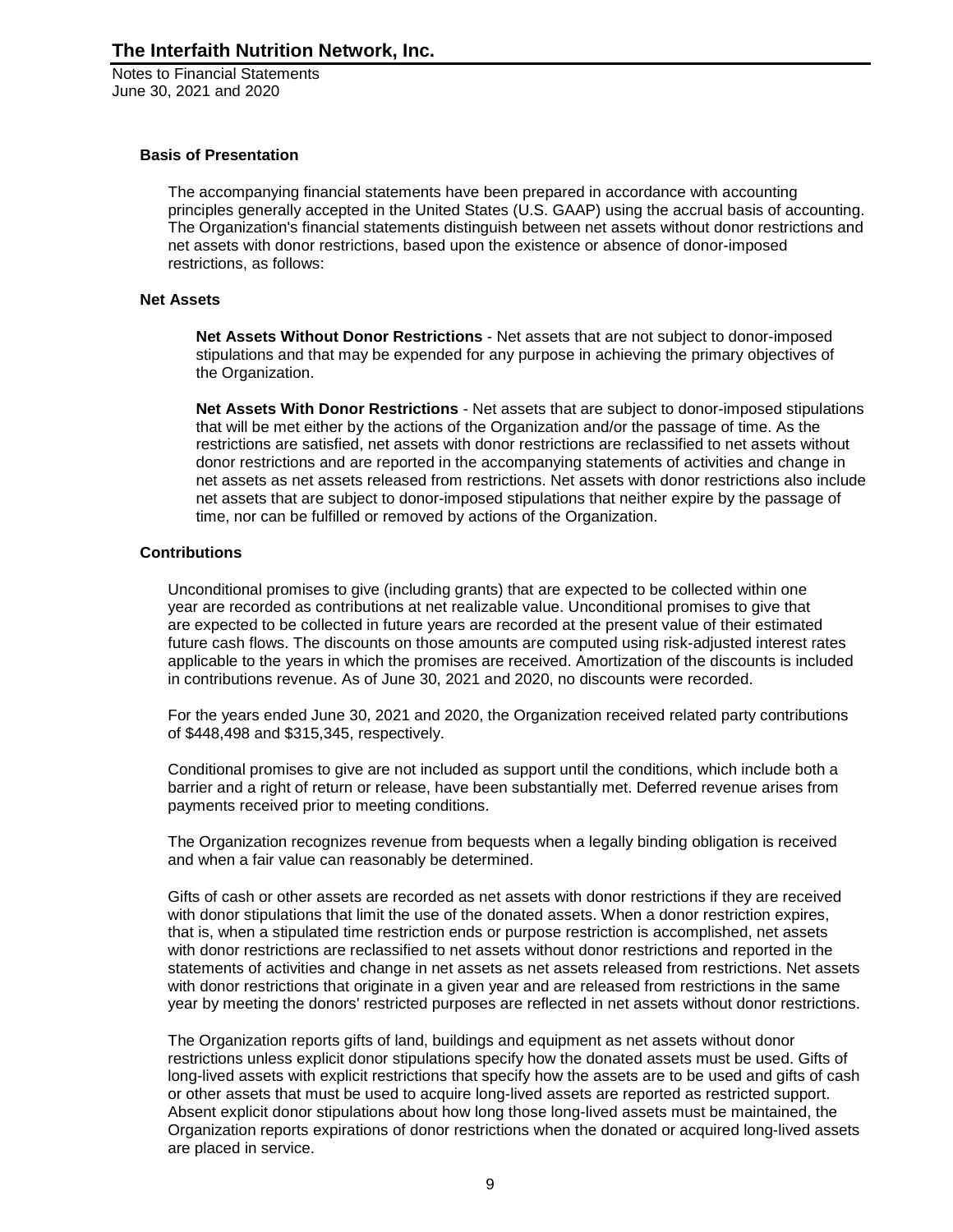#### **Basis of Presentation**

The accompanying financial statements have been prepared in accordance with accounting principles generally accepted in the United States (U.S. GAAP) using the accrual basis of accounting. The Organization's financial statements distinguish between net assets without donor restrictions and net assets with donor restrictions, based upon the existence or absence of donor-imposed restrictions, as follows:

#### **Net Assets**

**Net Assets Without Donor Restrictions** - Net assets that are not subject to donor-imposed stipulations and that may be expended for any purpose in achieving the primary objectives of the Organization.

**Net Assets With Donor Restrictions** - Net assets that are subject to donor-imposed stipulations that will be met either by the actions of the Organization and/or the passage of time. As the restrictions are satisfied, net assets with donor restrictions are reclassified to net assets without donor restrictions and are reported in the accompanying statements of activities and change in net assets as net assets released from restrictions. Net assets with donor restrictions also include net assets that are subject to donor-imposed stipulations that neither expire by the passage of time, nor can be fulfilled or removed by actions of the Organization.

#### **Contributions**

Unconditional promises to give (including grants) that are expected to be collected within one year are recorded as contributions at net realizable value. Unconditional promises to give that are expected to be collected in future years are recorded at the present value of their estimated future cash flows. The discounts on those amounts are computed using risk-adjusted interest rates applicable to the years in which the promises are received. Amortization of the discounts is included in contributions revenue. As of June 30, 2021 and 2020, no discounts were recorded.

For the years ended June 30, 2021 and 2020, the Organization received related party contributions of \$448,498 and \$315,345, respectively.

Conditional promises to give are not included as support until the conditions, which include both a barrier and a right of return or release, have been substantially met. Deferred revenue arises from payments received prior to meeting conditions.

The Organization recognizes revenue from bequests when a legally binding obligation is received and when a fair value can reasonably be determined.

Gifts of cash or other assets are recorded as net assets with donor restrictions if they are received with donor stipulations that limit the use of the donated assets. When a donor restriction expires, that is, when a stipulated time restriction ends or purpose restriction is accomplished, net assets with donor restrictions are reclassified to net assets without donor restrictions and reported in the statements of activities and change in net assets as net assets released from restrictions. Net assets with donor restrictions that originate in a given year and are released from restrictions in the same year by meeting the donors' restricted purposes are reflected in net assets without donor restrictions.

The Organization reports gifts of land, buildings and equipment as net assets without donor restrictions unless explicit donor stipulations specify how the donated assets must be used. Gifts of long-lived assets with explicit restrictions that specify how the assets are to be used and gifts of cash or other assets that must be used to acquire long-lived assets are reported as restricted support. Absent explicit donor stipulations about how long those long-lived assets must be maintained, the Organization reports expirations of donor restrictions when the donated or acquired long-lived assets are placed in service.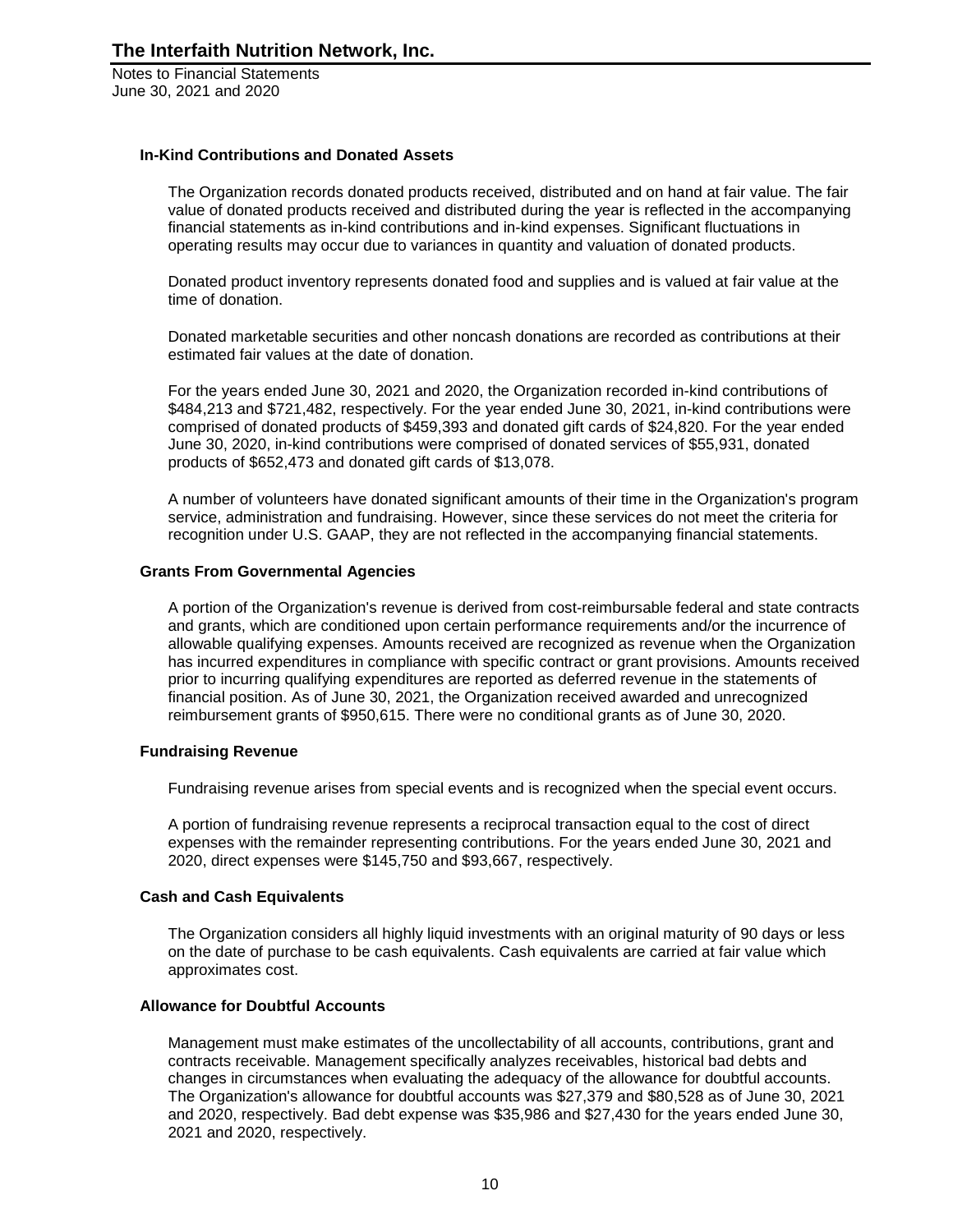#### **In-Kind Contributions and Donated Assets**

The Organization records donated products received, distributed and on hand at fair value. The fair value of donated products received and distributed during the year is reflected in the accompanying financial statements as in-kind contributions and in-kind expenses. Significant fluctuations in operating results may occur due to variances in quantity and valuation of donated products.

Donated product inventory represents donated food and supplies and is valued at fair value at the time of donation.

Donated marketable securities and other noncash donations are recorded as contributions at their estimated fair values at the date of donation.

For the years ended June 30, 2021 and 2020, the Organization recorded in-kind contributions of \$484,213 and \$721,482, respectively. For the year ended June 30, 2021, in-kind contributions were comprised of donated products of \$459,393 and donated gift cards of \$24,820. For the year ended June 30, 2020, in-kind contributions were comprised of donated services of \$55,931, donated products of \$652,473 and donated gift cards of \$13,078.

A number of volunteers have donated significant amounts of their time in the Organization's program service, administration and fundraising. However, since these services do not meet the criteria for recognition under U.S. GAAP, they are not reflected in the accompanying financial statements.

#### **Grants From Governmental Agencies**

A portion of the Organization's revenue is derived from cost-reimbursable federal and state contracts and grants, which are conditioned upon certain performance requirements and/or the incurrence of allowable qualifying expenses. Amounts received are recognized as revenue when the Organization has incurred expenditures in compliance with specific contract or grant provisions. Amounts received prior to incurring qualifying expenditures are reported as deferred revenue in the statements of financial position. As of June 30, 2021, the Organization received awarded and unrecognized reimbursement grants of \$950,615. There were no conditional grants as of June 30, 2020.

#### **Fundraising Revenue**

Fundraising revenue arises from special events and is recognized when the special event occurs.

A portion of fundraising revenue represents a reciprocal transaction equal to the cost of direct expenses with the remainder representing contributions. For the years ended June 30, 2021 and 2020, direct expenses were \$145,750 and \$93,667, respectively.

#### **Cash and Cash Equivalents**

The Organization considers all highly liquid investments with an original maturity of 90 days or less on the date of purchase to be cash equivalents. Cash equivalents are carried at fair value which approximates cost.

#### **Allowance for Doubtful Accounts**

Management must make estimates of the uncollectability of all accounts, contributions, grant and contracts receivable. Management specifically analyzes receivables, historical bad debts and changes in circumstances when evaluating the adequacy of the allowance for doubtful accounts. The Organization's allowance for doubtful accounts was \$27,379 and \$80,528 as of June 30, 2021 and 2020, respectively. Bad debt expense was \$35,986 and \$27,430 for the years ended June 30, 2021 and 2020, respectively.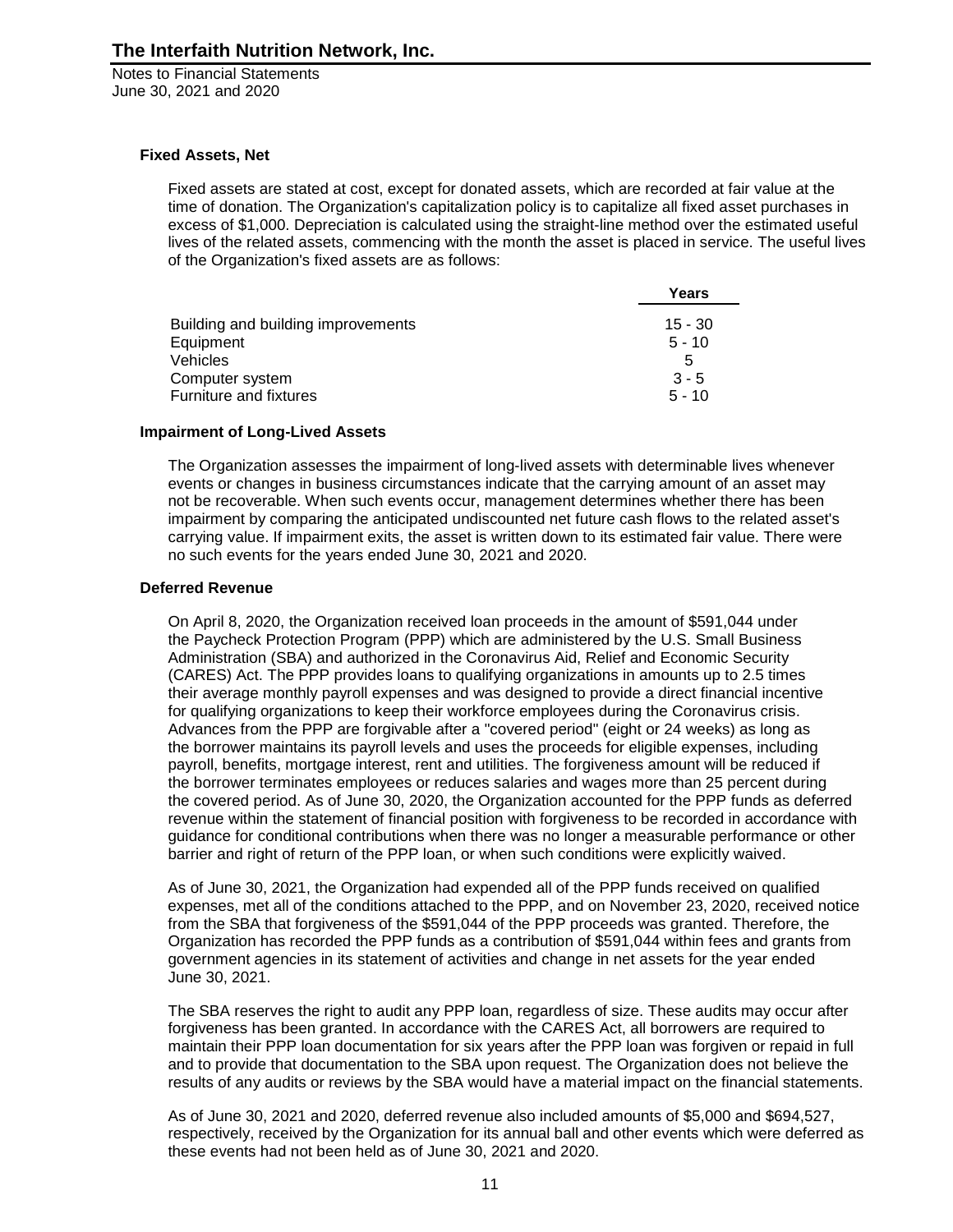#### **Fixed Assets, Net**

Fixed assets are stated at cost, except for donated assets, which are recorded at fair value at the time of donation. The Organization's capitalization policy is to capitalize all fixed asset purchases in excess of \$1,000. Depreciation is calculated using the straight-line method over the estimated useful lives of the related assets, commencing with the month the asset is placed in service. The useful lives of the Organization's fixed assets are as follows:

|                                    | Years     |
|------------------------------------|-----------|
| Building and building improvements | $15 - 30$ |
| Equipment                          | $5 - 10$  |
| Vehicles                           | 5         |
| Computer system                    | $3 - 5$   |
| <b>Furniture and fixtures</b>      | $5 - 10$  |

#### **Impairment of Long-Lived Assets**

The Organization assesses the impairment of long-lived assets with determinable lives whenever events or changes in business circumstances indicate that the carrying amount of an asset may not be recoverable. When such events occur, management determines whether there has been impairment by comparing the anticipated undiscounted net future cash flows to the related asset's carrying value. If impairment exits, the asset is written down to its estimated fair value. There were no such events for the years ended June 30, 2021 and 2020.

#### **Deferred Revenue**

On April 8, 2020, the Organization received loan proceeds in the amount of \$591,044 under the Paycheck Protection Program (PPP) which are administered by the U.S. Small Business Administration (SBA) and authorized in the Coronavirus Aid, Relief and Economic Security (CARES) Act. The PPP provides loans to qualifying organizations in amounts up to 2.5 times their average monthly payroll expenses and was designed to provide a direct financial incentive for qualifying organizations to keep their workforce employees during the Coronavirus crisis. Advances from the PPP are forgivable after a "covered period" (eight or 24 weeks) as long as the borrower maintains its payroll levels and uses the proceeds for eligible expenses, including payroll, benefits, mortgage interest, rent and utilities. The forgiveness amount will be reduced if the borrower terminates employees or reduces salaries and wages more than 25 percent during the covered period. As of June 30, 2020, the Organization accounted for the PPP funds as deferred revenue within the statement of financial position with forgiveness to be recorded in accordance with guidance for conditional contributions when there was no longer a measurable performance or other barrier and right of return of the PPP loan, or when such conditions were explicitly waived.

As of June 30, 2021, the Organization had expended all of the PPP funds received on qualified expenses, met all of the conditions attached to the PPP, and on November 23, 2020, received notice from the SBA that forgiveness of the \$591,044 of the PPP proceeds was granted. Therefore, the Organization has recorded the PPP funds as a contribution of \$591,044 within fees and grants from government agencies in its statement of activities and change in net assets for the year ended June 30, 2021.

The SBA reserves the right to audit any PPP loan, regardless of size. These audits may occur after forgiveness has been granted. In accordance with the CARES Act, all borrowers are required to maintain their PPP loan documentation for six years after the PPP loan was forgiven or repaid in full and to provide that documentation to the SBA upon request. The Organization does not believe the results of any audits or reviews by the SBA would have a material impact on the financial statements.

As of June 30, 2021 and 2020, deferred revenue also included amounts of \$5,000 and \$694,527, respectively, received by the Organization for its annual ball and other events which were deferred as these events had not been held as of June 30, 2021 and 2020.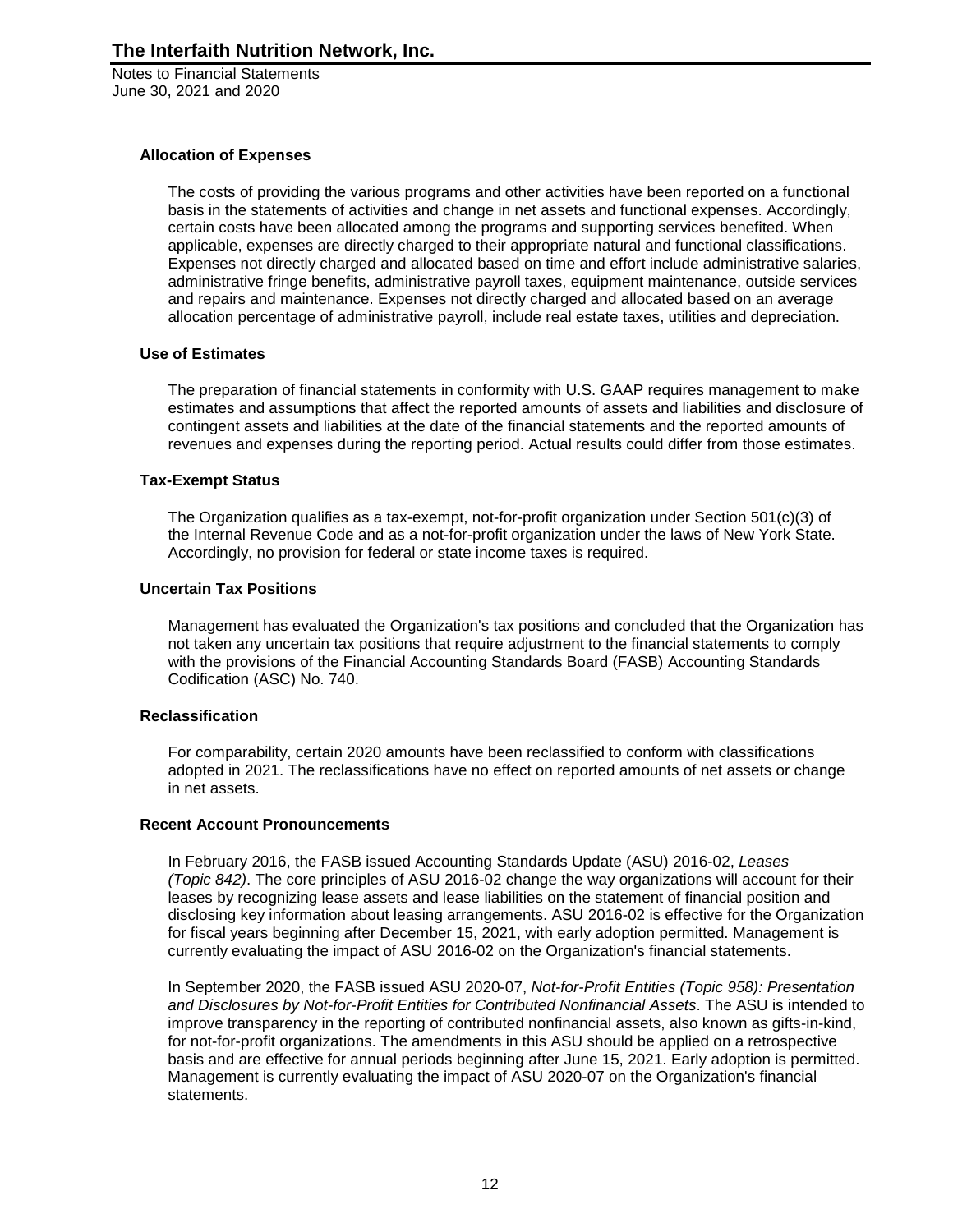#### **Allocation of Expenses**

The costs of providing the various programs and other activities have been reported on a functional basis in the statements of activities and change in net assets and functional expenses. Accordingly, certain costs have been allocated among the programs and supporting services benefited. When applicable, expenses are directly charged to their appropriate natural and functional classifications. Expenses not directly charged and allocated based on time and effort include administrative salaries, administrative fringe benefits, administrative payroll taxes, equipment maintenance, outside services and repairs and maintenance. Expenses not directly charged and allocated based on an average allocation percentage of administrative payroll, include real estate taxes, utilities and depreciation.

#### **Use of Estimates**

The preparation of financial statements in conformity with U.S. GAAP requires management to make estimates and assumptions that affect the reported amounts of assets and liabilities and disclosure of contingent assets and liabilities at the date of the financial statements and the reported amounts of revenues and expenses during the reporting period. Actual results could differ from those estimates.

#### **Tax-Exempt Status**

The Organization qualifies as a tax-exempt, not-for-profit organization under Section 501(c)(3) of the Internal Revenue Code and as a not-for-profit organization under the laws of New York State. Accordingly, no provision for federal or state income taxes is required.

#### **Uncertain Tax Positions**

Management has evaluated the Organization's tax positions and concluded that the Organization has not taken any uncertain tax positions that require adjustment to the financial statements to comply with the provisions of the Financial Accounting Standards Board (FASB) Accounting Standards Codification (ASC) No. 740.

#### **Reclassification**

For comparability, certain 2020 amounts have been reclassified to conform with classifications adopted in 2021. The reclassifications have no effect on reported amounts of net assets or change in net assets.

#### **Recent Account Pronouncements**

In February 2016, the FASB issued Accounting Standards Update (ASU) 2016-02, *Leases (Topic 842)*. The core principles of ASU 2016-02 change the way organizations will account for their leases by recognizing lease assets and lease liabilities on the statement of financial position and disclosing key information about leasing arrangements. ASU 2016-02 is effective for the Organization for fiscal years beginning after December 15, 2021, with early adoption permitted. Management is currently evaluating the impact of ASU 2016-02 on the Organization's financial statements.

In September 2020, the FASB issued ASU 2020-07, *Not-for-Profit Entities (Topic 958): Presentation and Disclosures by Not-for-Profit Entities for Contributed Nonfinancial Assets*. The ASU is intended to improve transparency in the reporting of contributed nonfinancial assets, also known as gifts-in-kind, for not-for-profit organizations. The amendments in this ASU should be applied on a retrospective basis and are effective for annual periods beginning after June 15, 2021. Early adoption is permitted. Management is currently evaluating the impact of ASU 2020-07 on the Organization's financial statements.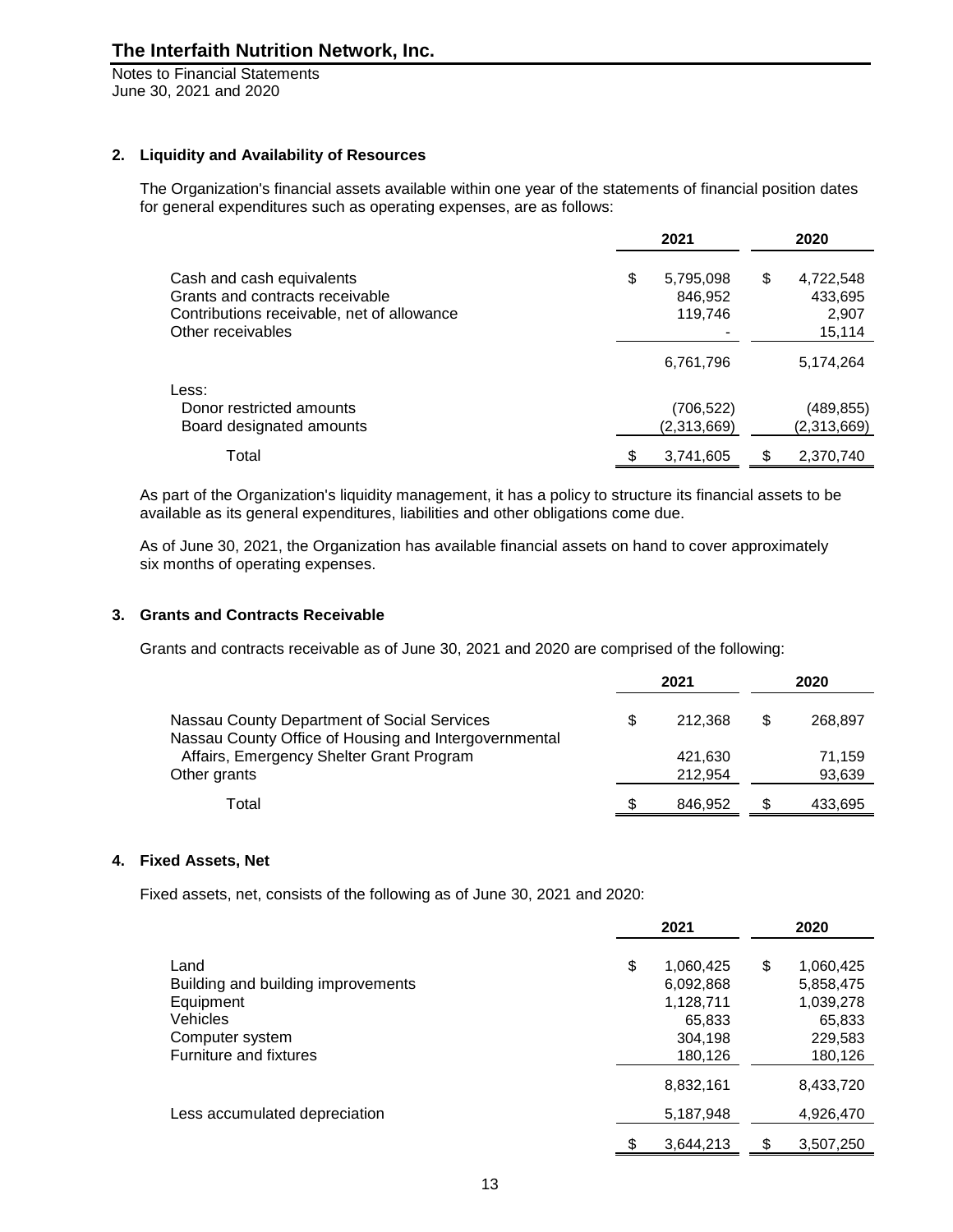Notes to Financial Statements June 30, 2021 and 2020

#### **2. Liquidity and Availability of Resources**

The Organization's financial assets available within one year of the statements of financial position dates for general expenditures such as operating expenses, are as follows:

|                                                                                                                                 | 2021                                  | 2020                                          |
|---------------------------------------------------------------------------------------------------------------------------------|---------------------------------------|-----------------------------------------------|
| Cash and cash equivalents<br>Grants and contracts receivable<br>Contributions receivable, net of allowance<br>Other receivables | \$<br>5,795,098<br>846,952<br>119,746 | \$<br>4,722,548<br>433,695<br>2,907<br>15,114 |
|                                                                                                                                 | 6,761,796                             | 5,174,264                                     |
| Less:<br>Donor restricted amounts<br>Board designated amounts                                                                   | (706, 522)<br>(2,313,669)             | (489,855)<br>(2,313,669)                      |
| Total                                                                                                                           | 3,741,605                             | 2,370,740                                     |

As part of the Organization's liquidity management, it has a policy to structure its financial assets to be available as its general expenditures, liabilities and other obligations come due.

As of June 30, 2021, the Organization has available financial assets on hand to cover approximately six months of operating expenses.

#### **3. Grants and Contracts Receivable**

Grants and contracts receivable as of June 30, 2021 and 2020 are comprised of the following:

|                                                                                                   | 2021    | 2020 |         |
|---------------------------------------------------------------------------------------------------|---------|------|---------|
| Nassau County Department of Social Services                                                       | 212.368 | S    | 268.897 |
| Nassau County Office of Housing and Intergovernmental<br>Affairs, Emergency Shelter Grant Program | 421,630 |      | 71.159  |
| Other grants                                                                                      | 212.954 |      | 93,639  |
| Total                                                                                             | 846.952 |      | 433,695 |

#### **4. Fixed Assets, Net**

Fixed assets, net, consists of the following as of June 30, 2021 and 2020:

| 2021                               |    | 2020      |    |           |
|------------------------------------|----|-----------|----|-----------|
| Land                               | \$ | 1,060,425 | \$ | 1,060,425 |
| Building and building improvements |    | 6,092,868 |    | 5,858,475 |
| Equipment                          |    | 1,128,711 |    | 1,039,278 |
| Vehicles                           |    | 65,833    |    | 65,833    |
| Computer system                    |    | 304,198   |    | 229,583   |
| Furniture and fixtures             |    | 180,126   |    | 180,126   |
|                                    |    | 8,832,161 |    | 8,433,720 |
| Less accumulated depreciation      |    | 5,187,948 |    | 4,926,470 |
|                                    | \$ | 3,644,213 | S  | 3,507,250 |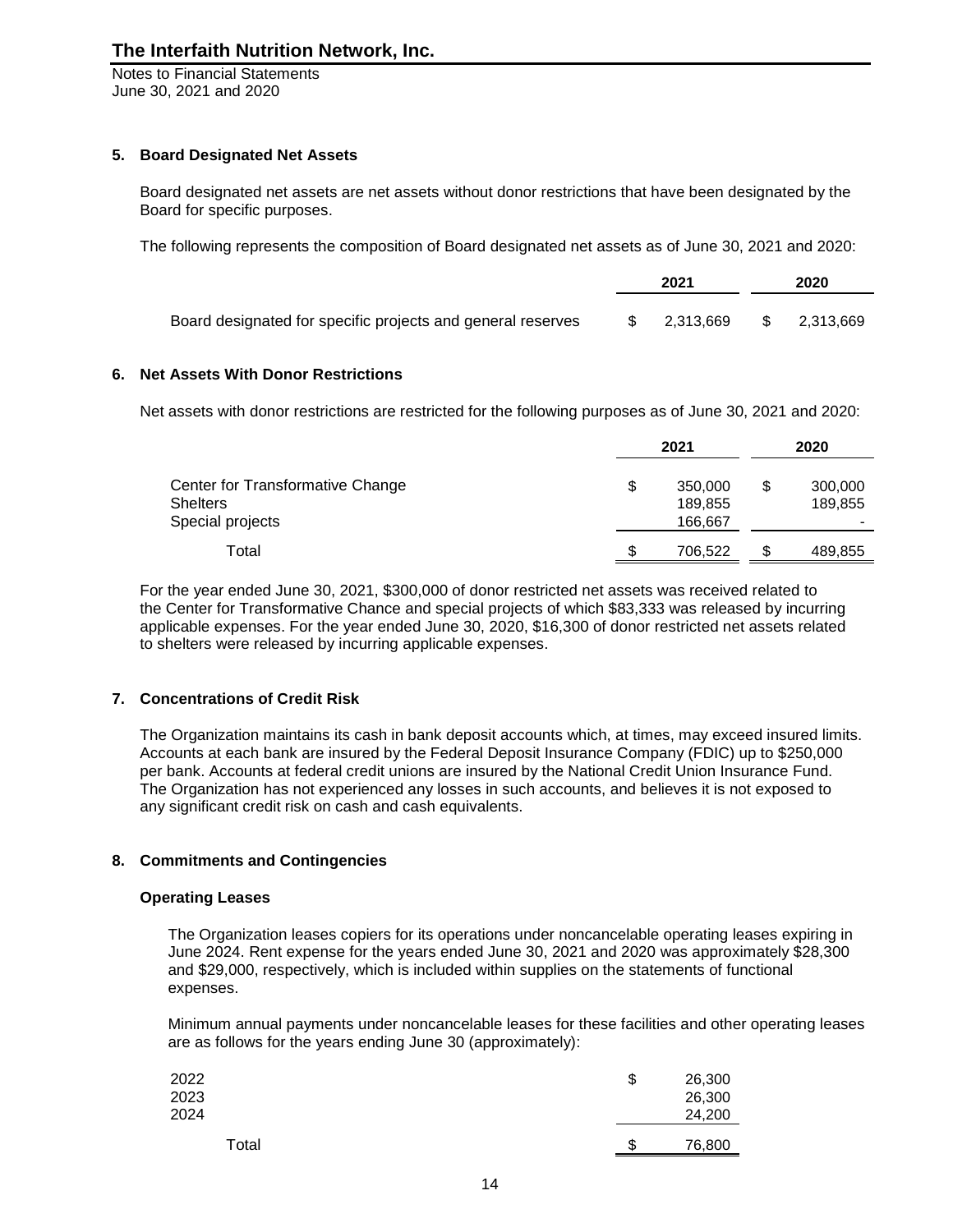Notes to Financial Statements June 30, 2021 and 2020

#### **5. Board Designated Net Assets**

Board designated net assets are net assets without donor restrictions that have been designated by the Board for specific purposes.

The following represents the composition of Board designated net assets as of June 30, 2021 and 2020:

|                                                             | 2021 |           | 2020 |           |
|-------------------------------------------------------------|------|-----------|------|-----------|
| Board designated for specific projects and general reserves |      | 2.313.669 | - S  | 2.313.669 |

#### **6. Net Assets With Donor Restrictions**

Net assets with donor restrictions are restricted for the following purposes as of June 30, 2021 and 2020:

|                                  | 2021 |         | 2020 |         |  |
|----------------------------------|------|---------|------|---------|--|
| Center for Transformative Change | S    | 350,000 |      | 300,000 |  |
| Shelters                         |      | 189,855 |      | 189,855 |  |
| Special projects                 |      | 166.667 |      |         |  |
| Total                            |      | 706.522 |      | 489,855 |  |

For the year ended June 30, 2021, \$300,000 of donor restricted net assets was received related to the Center for Transformative Chance and special projects of which \$83,333 was released by incurring applicable expenses. For the year ended June 30, 2020, \$16,300 of donor restricted net assets related to shelters were released by incurring applicable expenses.

#### **7. Concentrations of Credit Risk**

The Organization maintains its cash in bank deposit accounts which, at times, may exceed insured limits. Accounts at each bank are insured by the Federal Deposit Insurance Company (FDIC) up to \$250,000 per bank. Accounts at federal credit unions are insured by the National Credit Union Insurance Fund. The Organization has not experienced any losses in such accounts, and believes it is not exposed to any significant credit risk on cash and cash equivalents.

#### **8. Commitments and Contingencies**

#### **Operating Leases**

The Organization leases copiers for its operations under noncancelable operating leases expiring in June 2024. Rent expense for the years ended June 30, 2021 and 2020 was approximately \$28,300 and \$29,000, respectively, which is included within supplies on the statements of functional expenses.

Minimum annual payments under noncancelable leases for these facilities and other operating leases are as follows for the years ending June 30 (approximately):

| 2022<br>2023<br>2024 | \$ | 26,300<br>26,300<br>24,200 |
|----------------------|----|----------------------------|
| Total                | S  | 76,800                     |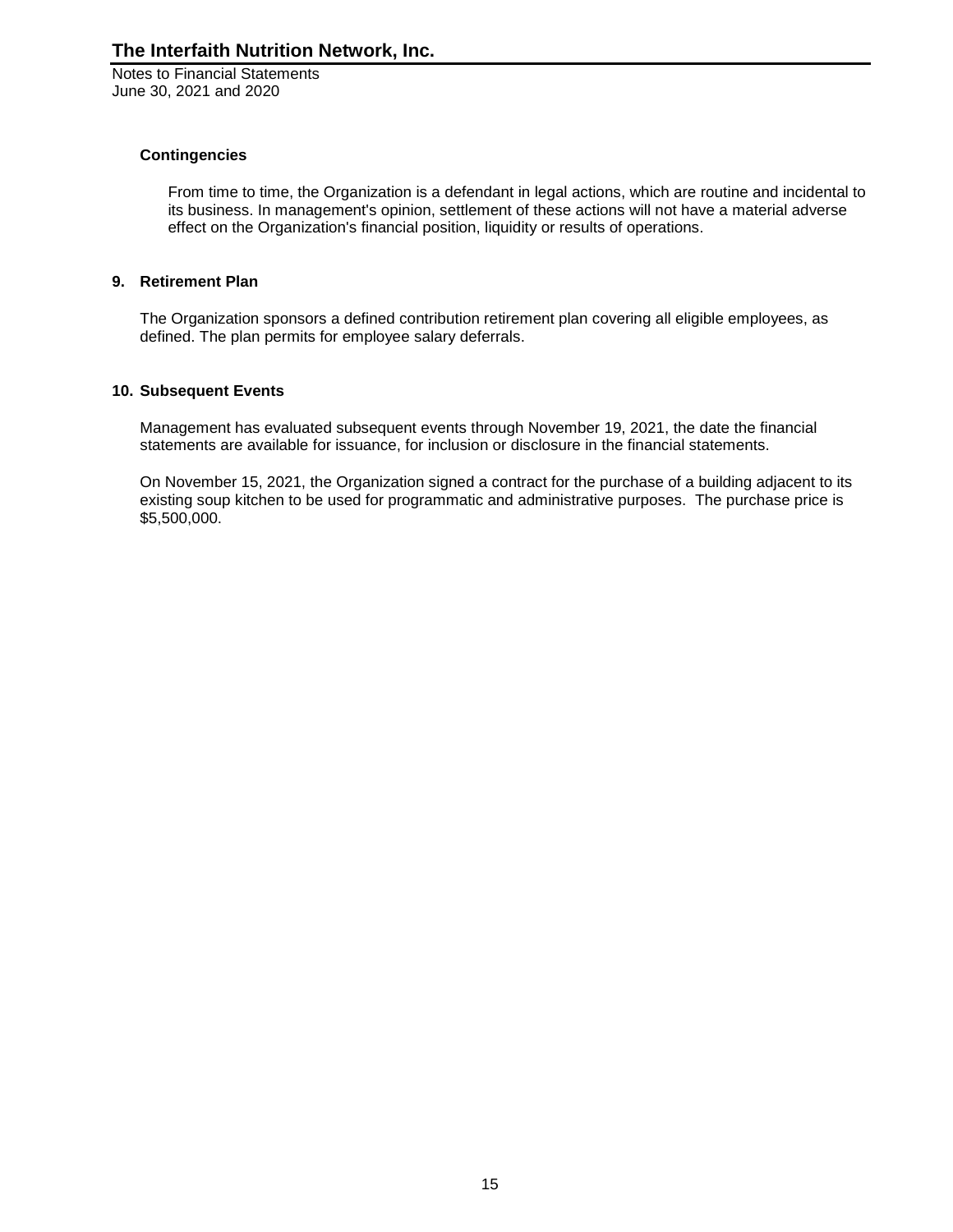#### **Contingencies**

From time to time, the Organization is a defendant in legal actions, which are routine and incidental to its business. In management's opinion, settlement of these actions will not have a material adverse effect on the Organization's financial position, liquidity or results of operations.

#### **9. Retirement Plan**

The Organization sponsors a defined contribution retirement plan covering all eligible employees, as defined. The plan permits for employee salary deferrals.

#### **10. Subsequent Events**

Management has evaluated subsequent events through November 19, 2021, the date the financial statements are available for issuance, for inclusion or disclosure in the financial statements.

On November 15, 2021, the Organization signed a contract for the purchase of a building adjacent to its existing soup kitchen to be used for programmatic and administrative purposes. The purchase price is \$5,500,000.